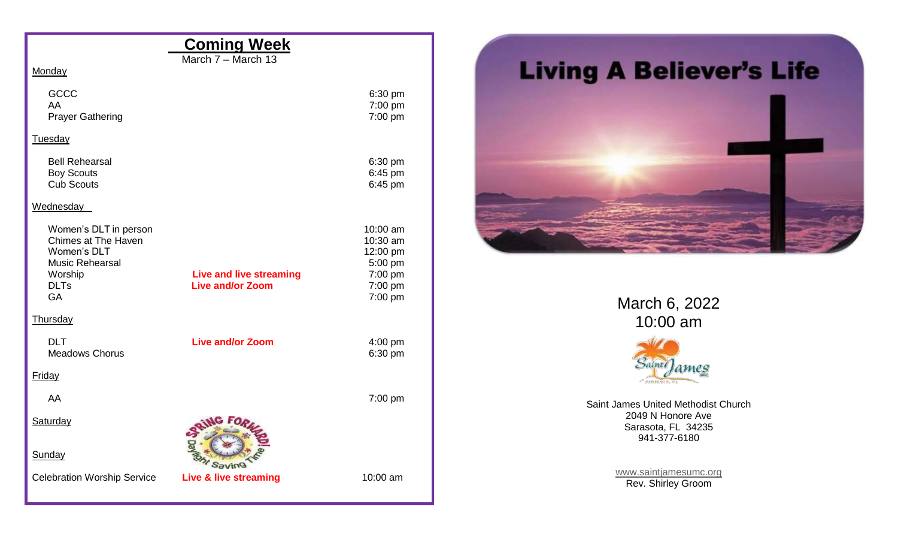|                                                                                                                              | <b>Coming Week</b>                                        |                                                                              |
|------------------------------------------------------------------------------------------------------------------------------|-----------------------------------------------------------|------------------------------------------------------------------------------|
| Monday                                                                                                                       | March 7 - March 13                                        |                                                                              |
| GCCC<br>AA<br><b>Prayer Gathering</b>                                                                                        |                                                           | 6:30 pm<br>7:00 pm<br>7:00 pm                                                |
| Tuesday                                                                                                                      |                                                           |                                                                              |
| <b>Bell Rehearsal</b><br><b>Boy Scouts</b><br><b>Cub Scouts</b>                                                              |                                                           | 6:30 pm<br>6:45 pm<br>6:45 pm                                                |
| Wednesday                                                                                                                    |                                                           |                                                                              |
| Women's DLT in person<br>Chimes at The Haven<br>Women's DLT<br><b>Music Rehearsal</b><br>Worship<br><b>DLTs</b><br><b>GA</b> | <b>Live and live streaming</b><br><b>Live and/or Zoom</b> | 10:00 am<br>10:30 am<br>12:00 pm<br>5:00 pm<br>7:00 pm<br>7:00 pm<br>7:00 pm |
| Thursday                                                                                                                     |                                                           |                                                                              |
| <b>DLT</b><br><b>Meadows Chorus</b>                                                                                          | <b>Live and/or Zoom</b>                                   | 4:00 pm<br>6:30 pm                                                           |
| <b>Friday</b>                                                                                                                |                                                           |                                                                              |
| AA                                                                                                                           |                                                           | 7:00 pm                                                                      |
| Saturday                                                                                                                     |                                                           |                                                                              |
| Sunday                                                                                                                       |                                                           |                                                                              |
| <b>Celebration Worship Service</b>                                                                                           | Live & live streaming                                     | 10:00 am                                                                     |



March 6, 2022 10:00 am



Saint James United Methodist Church 2049 N Honore Ave Sarasota, FL 34235 941-377-6180

> [www.saintjamesumc.org](http://www.saintjamesumc.org/) Rev. Shirley Groom